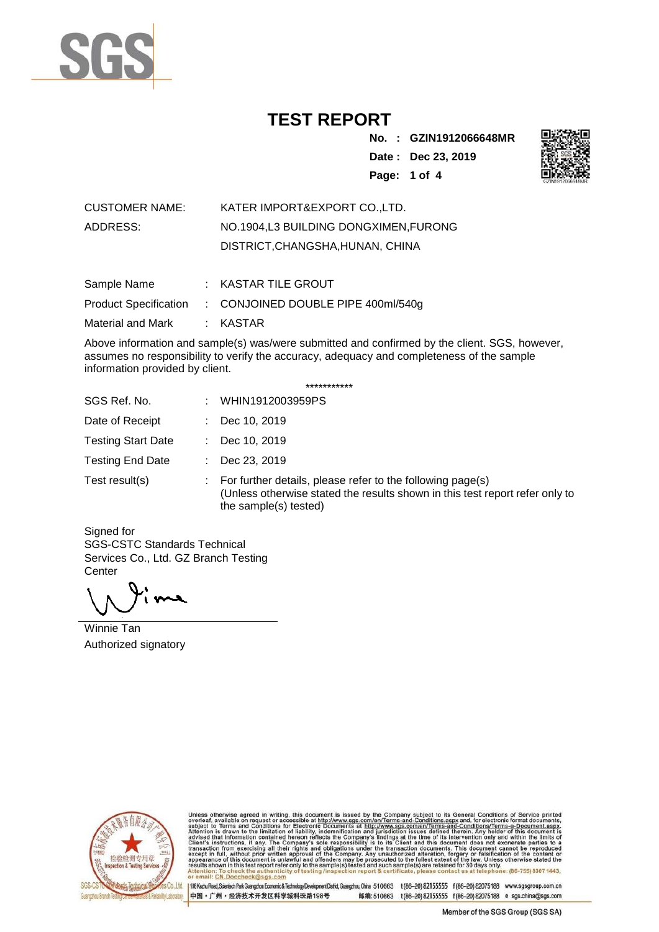

**No. : GZIN1912066648MR Date : Dec 23, 2019 Page: 1 of 4** 



| CUSTOMER NAME: | KATER IMPORT&EXPORT COLTD.           |
|----------------|--------------------------------------|
| ADDRESS:       | NO.1904.L3 BUILDING DONGXIMEN.FURONG |
|                | DISTRICT, CHANGSHA, HUNAN, CHINA     |

| Sample Name       | $:$ KASTAR TILE GROUT                                    |
|-------------------|----------------------------------------------------------|
|                   | Product Specification : CONJOINED DOUBLE PIPE 400ml/540g |
| Material and Mark | : KASTAR                                                 |

Above information and sample(s) was/were submitted and confirmed by the client. SGS, however, assumes no responsibility to verify the accuracy, adequacy and completeness of the sample information provided by client.

| *********** |  |
|-------------|--|
|-------------|--|

| SGS Ref. No.              | WHIN1912003959PS<br>÷.                                                                                                                                                    |
|---------------------------|---------------------------------------------------------------------------------------------------------------------------------------------------------------------------|
| Date of Receipt           | Dec 10, 2019                                                                                                                                                              |
| <b>Testing Start Date</b> | Dec 10, 2019<br>t.                                                                                                                                                        |
| <b>Testing End Date</b>   | Dec 23, 2019                                                                                                                                                              |
| Test result(s)            | For further details, please refer to the following page(s)<br>÷.<br>(Unless otherwise stated the results shown in this test report refer only to<br>the sample(s) tested) |

Signed for SGS-CSTC Standards Technical Services Co., Ltd. GZ Branch Testing **Center** 

Winnie Tan Authorized signatory



Unless otherwise agreed in writing, this document is issued by the Company subject to its General Conditions of Service printed overleaf, available on request or accessible at http://www.sgs.com/en/Terms-and-Conditions.asp Attention: To check the authenticity o<br>or email: CN,Doccheck@sgs.com

Co.,Ltd. | 198 Kezhu Road, Scientech Park Guangzhou Economic & Technology Development District, Guangzhou, China 510663 t (86-20) 82155555 f (86-20) 82075188 www.sgsgroup.com.cn 中国·广州·经济技术开发区科学城科珠路198号 邮编:510663 t(86-20) 82155555 f(86-20) 82075188 e sgs.china@sgs.com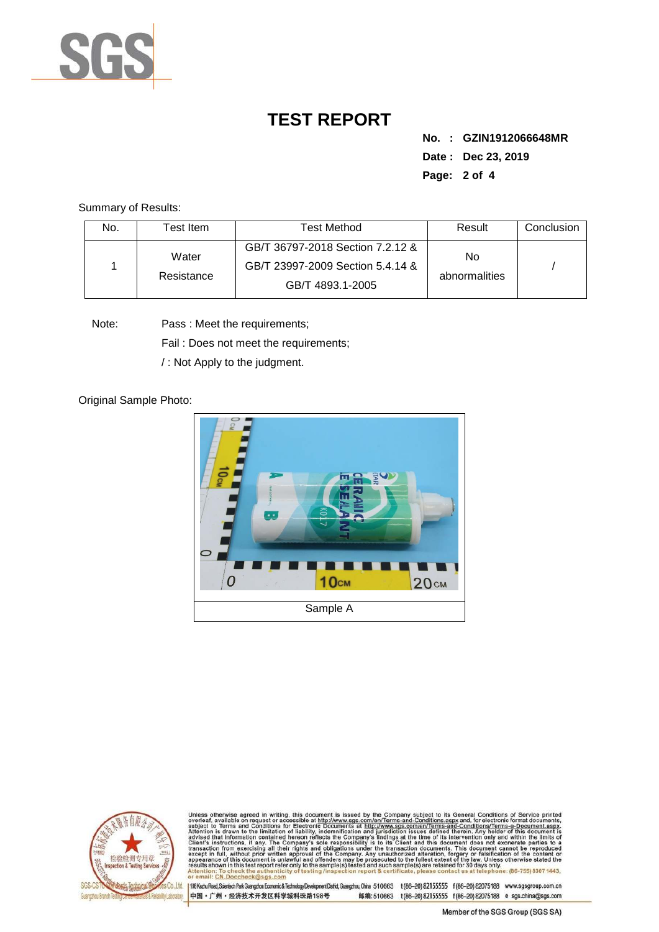

**No. : GZIN1912066648MR Date : Dec 23, 2019 Page: 2 of 4** 

Summary of Results:

| No. | ⊺est Item           | Test Method                                                                              | Result              | Conclusion |
|-----|---------------------|------------------------------------------------------------------------------------------|---------------------|------------|
|     | Water<br>Resistance | GB/T 36797-2018 Section 7.2.12 &<br>GB/T 23997-2009 Section 5.4.14 &<br>GB/T 4893.1-2005 | No<br>abnormalities |            |

Note: Pass : Meet the requirements;

Fail : Does not meet the requirements;

/ : Not Apply to the judgment.

Original Sample Photo:





Unless otherwise agreed in writing, this document is issued by the Company subject to its General Conditions of Service printed subject to Terms and Conditions for Electronic Documents at http://www.sgs.com/en/Terms-and-C : To check the authenti<br>CN.Doccheck@sgs.co

Co.,Ltd. | 198 Kezhu Road, Scientech Park Guangzhou Economic & Technology Development District, Guangzhou, China 510663 t (86-20) 82155555 f (86-20) 82075188 www.sgsgroup.com.cn 中国·广州·经济技术开发区科学城科珠路198号 邮编:510663 t(86-20) 82155555 f(86-20) 82075188 e sgs.china@sgs.com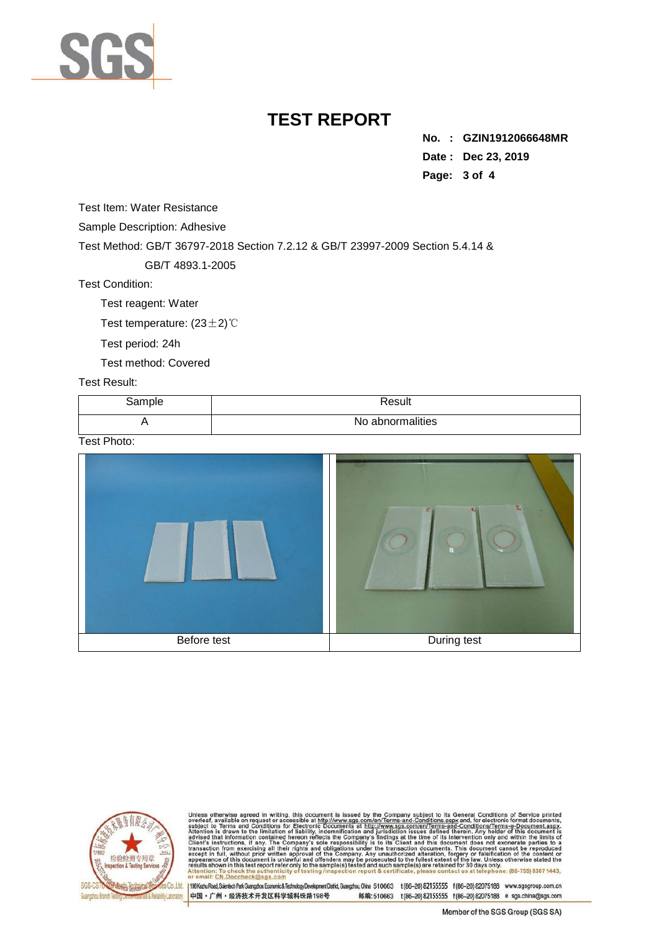

**No. : GZIN1912066648MR Date : Dec 23, 2019 Page: 3 of 4** 

Test Item: Water Resistance

Sample Description: Adhesive

Test Method: GB/T 36797-2018 Section 7.2.12 & GB/T 23997-2009 Section 5.4.14 &

GB/T 4893.1-2005

Test Condition:

Test reagent: Water

Test temperature: (23±2)℃

Test period: 24h

Test method: Covered

#### Test Result:

| Sample | Result           |
|--------|------------------|
|        | No abnormalities |

Test Photo:





Unless otherwise agreed in writing, this document is issued by the Company subject to its General Conditions of Service printed overleaf, available on request or accessible at http://www.sgs.com/en/Terms-and-Conditions.asp ntion: To check the authenticity of<br>nail: CN,Doccheck@sgs.com

Co.,Ltd. | 198 Kezhu Road, Scientech Park Guangzhou Economic & Technology Development District, Guangzhou, China 510663 t (86-20) 82155555 f (86-20) 82075188 www.sgsgroup.com.cn 中国·广州·经济技术开发区科学城科珠路198号 邮编:510663 t(86-20) 82155555 f(86-20) 82075188 e sgs.china@sgs.com